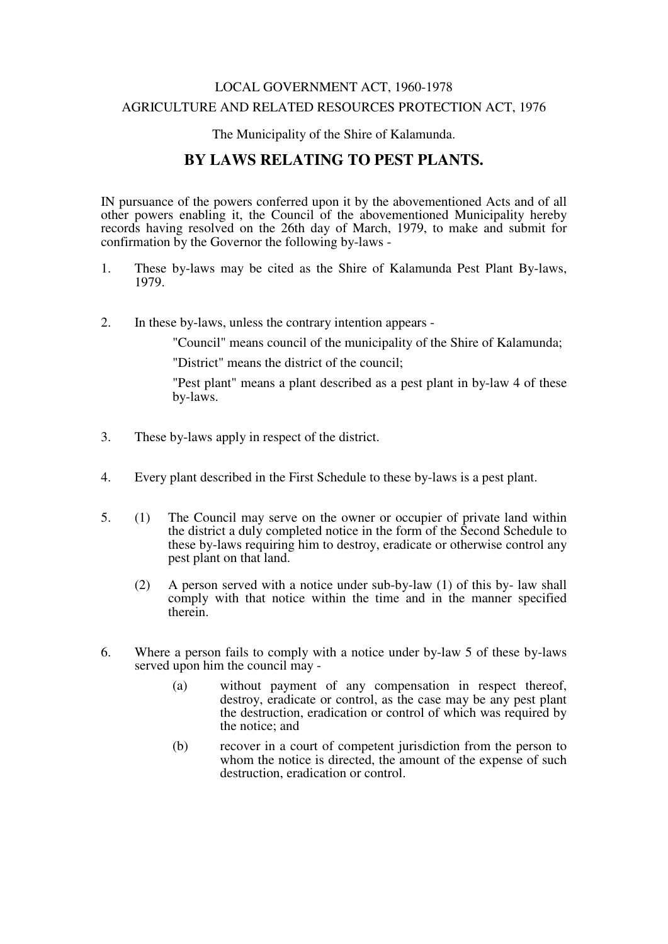### LOCAL GOVERNMENT ACT, 1960-1978 AGRICULTURE AND RELATED RESOURCES PROTECTION ACT, 1976

The Municipality of the Shire of Kalamunda.

## **BY LAWS RELATING TO PEST PLANTS.**

IN pursuance of the powers conferred upon it by the abovementioned Acts and of all other powers enabling it, the Council of the abovementioned Municipality hereby records having resolved on the 26th day of March, 1979, to make and submit for confirmation by the Governor the following by-laws -

- 1. These by-laws may be cited as the Shire of Kalamunda Pest Plant By-laws, 1979.
- 2. In these by-laws, unless the contrary intention appears -

"Council" means council of the municipality of the Shire of Kalamunda;

"District" means the district of the council;

"Pest plant" means a plant described as a pest plant in by-law 4 of these by-laws.

- 3. These by-laws apply in respect of the district.
- 4. Every plant described in the First Schedule to these by-laws is a pest plant.
- 5. (1) The Council may serve on the owner or occupier of private land within the district a duly completed notice in the form of the Second Schedule to these by-laws requiring him to destroy, eradicate or otherwise control any pest plant on that land.
	- (2) A person served with a notice under sub-by-law (1) of this by- law shall comply with that notice within the time and in the manner specified therein.
- 6. Where a person fails to comply with a notice under by-law 5 of these by-laws served upon him the council may -
	- (a) without payment of any compensation in respect thereof, destroy, eradicate or control, as the case may be any pest plant the destruction, eradication or control of which was required by the notice; and
	- (b) recover in a court of competent jurisdiction from the person to whom the notice is directed, the amount of the expense of such destruction, eradication or control.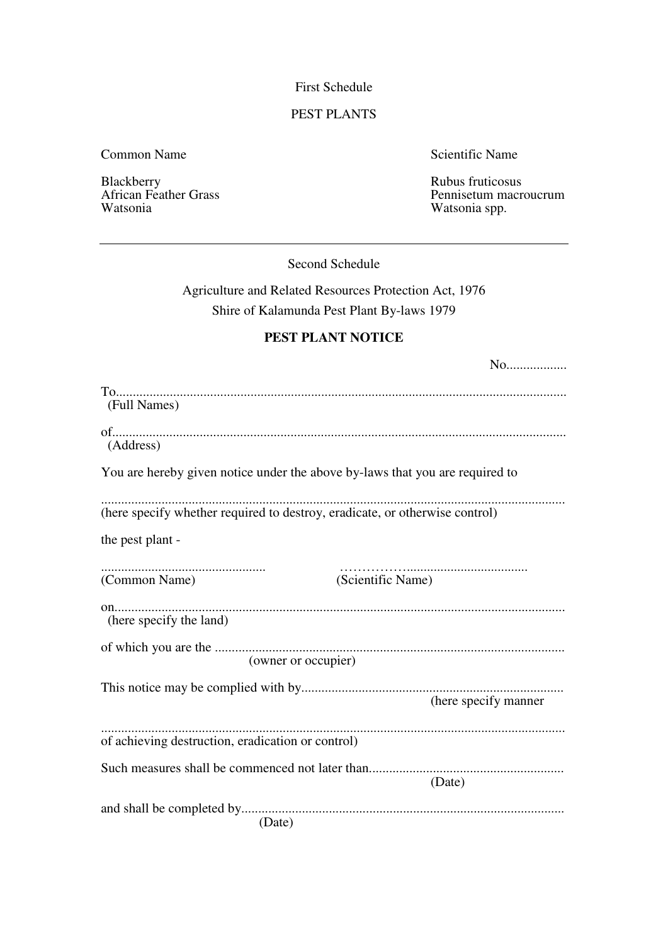First Schedule

#### PEST PLANTS

Common Name Scientific Name

Blackberry Rubus fruticosus<br>African Feather Grass and the Community of the Pennisetum macro

African Feather Grass Pennisetum macroucrum<br>Watsonia Watsonia Watsonia spp.

Second Schedule

# Agriculture and Related Resources Protection Act, 1976 Shire of Kalamunda Pest Plant By-laws 1979

#### **PEST PLANT NOTICE**

| No                                                                           |
|------------------------------------------------------------------------------|
| (Full Names)                                                                 |
| (Address)                                                                    |
| You are hereby given notice under the above by-laws that you are required to |
| (here specify whether required to destroy, eradicate, or otherwise control)  |
| the pest plant -                                                             |
| (Scientific Name)<br>(Common Name)                                           |
| (here specify the land)                                                      |
| (owner or occupier)                                                          |
| (here specify manner                                                         |
| of achieving destruction, eradication or control)                            |
| Such measures shall be commenced not later than<br>(Date)                    |
| (Date)                                                                       |